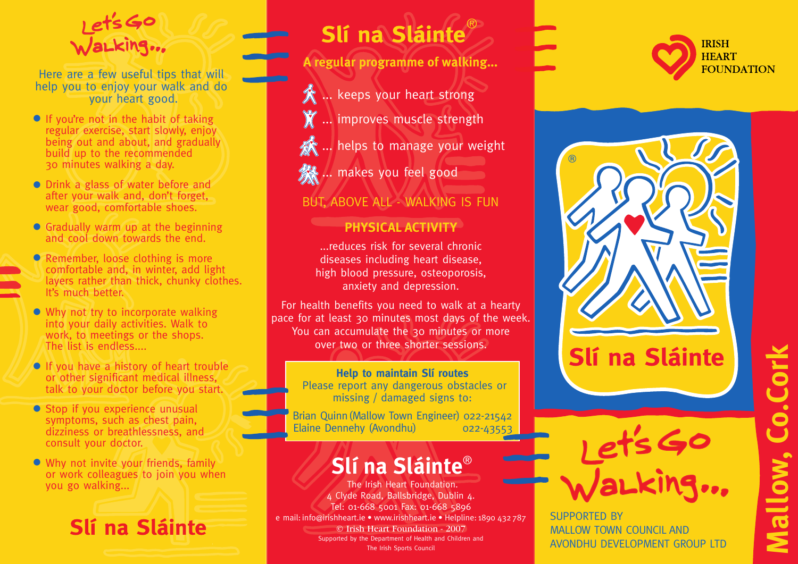

Here are a few useful tips that will help you to enjoy your walk and do your heart good.

- **•** If you're not in the habit of taking regular exercise, start slowly, enjoy being out and about, and gradually build up to the recommended 30 minutes walking a day.
- Drink a glass of water before and **•** after your walk and, don't forget, wear good, comfortable shoes.
- **•** Gradually warm up at the beginning and cool down towards the end.
- Remember, loose clothing is more **•** comfortable and, in winter, add light layers rather than thick, chunky clothes. It's much better.
- Why not try to incorporate walking into your daily activities. Walk to work, to meetings or the shops. The list is endless....
- **•** If you have a history of heart trouble or other significant medical illness, talk to your doctor before you start.
- **•** Stop if you experience unusual symptoms, such as chest pain, dizziness or breathlessness, and consult your doctor.
- Why not invite your friends, family **•** or work colleagues to join you when you go walking...

Slí na Sláinte

## Slí na Sláinte®

**A regular programme of walking...**

- **A** ... keeps your heart strong
- **X** ... improves muscle strength
- ... helps to manage your weight
- **A....** makes you feel good

## BUT, ABOVE ALL - WALKING IS FUN

## **PHYSICAL ACTIVITY**

...reduces risk for several chronic diseases including heart disease, high blood pressure, osteoporosis, anxiety and depression.

For health benefits you need to walk at a hearty pace for at least 30 minutes most days of the week. You can accumulate the 30 minutes or more over two or three shorter sessions.

> **Help to maintain Slí routes** Please report any dangerous obstacles or missing / damaged signs to:

Brian Quinn(Mallow Town Engineer) 022-21542 Elaine Dennehy (Avondhu) 022-43553

## **Slí na Sláinte**®

The Irish Heart Foundation. 4 Clyde Road, Ballsbridge, Dublin 4. Tel: 01-668 5001 Fax: 01-668 5896 e mail: info@irishheart.ie • www.irishheart.ie • Helpline: 1890 432 787 © Irish Heart Foundation - 2007 Supported by the Department of Health and Children and The Irish Sports Council







SUPPORTED BY MALLOW TOWN COUNCIL AND AVONDHU DEVELOPMENT GROUP LTD